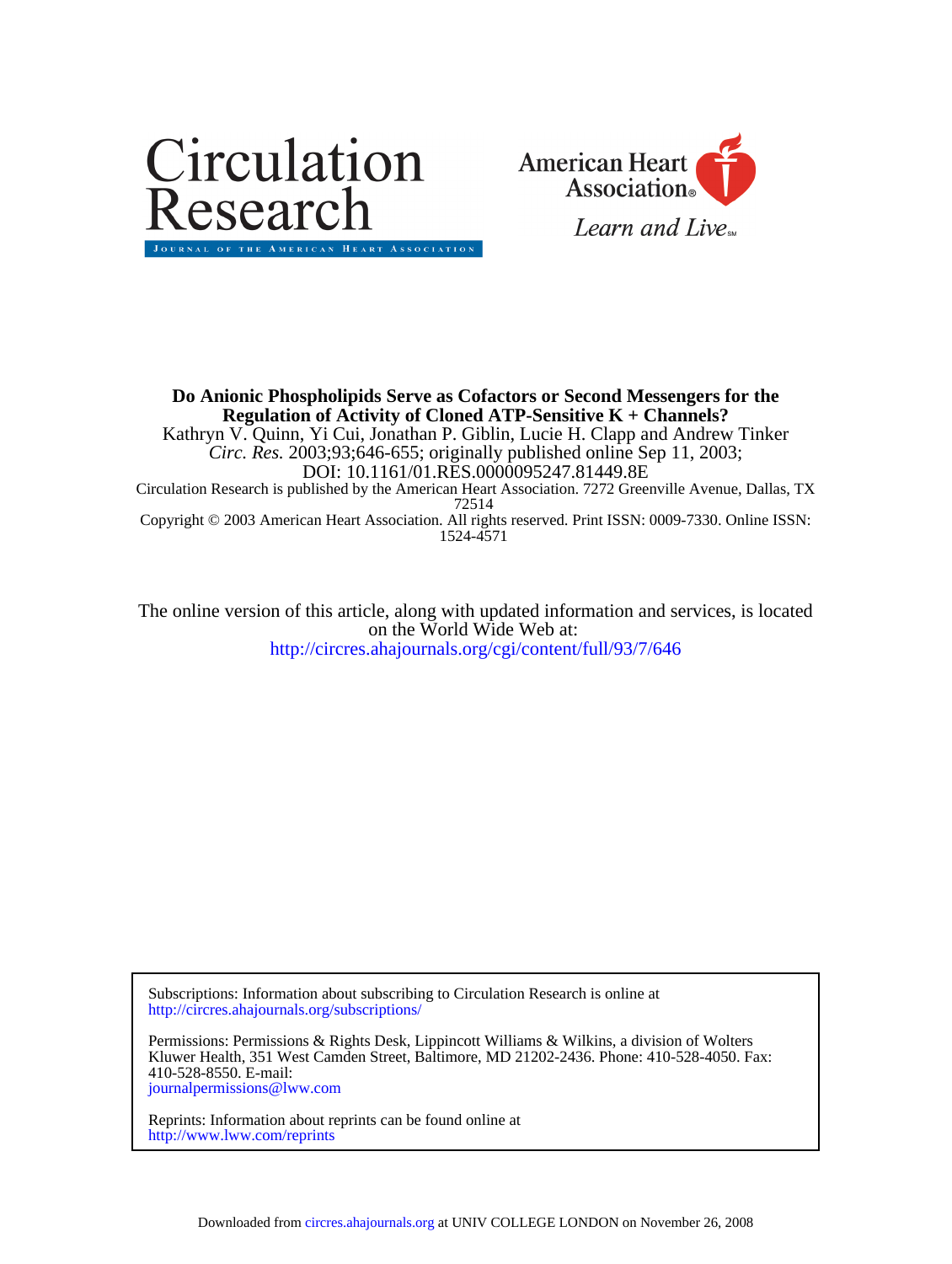



1524-4571 Copyright © 2003 American Heart Association. All rights reserved. Print ISSN: 0009-7330. Online ISSN: 72514 Circulation Research is published by the American Heart Association. 7272 Greenville Avenue, Dallas, TX DOI: 10.1161/01.RES.0000095247.81449.8E *Circ. Res.* 2003;93;646-655; originally published online Sep 11, 2003; Kathryn V. Quinn, Yi Cui, Jonathan P. Giblin, Lucie H. Clapp and Andrew Tinker **Regulation of Activity of Cloned ATP-Sensitive K + Channels? Do Anionic Phospholipids Serve as Cofactors or Second Messengers for the**

<http://circres.ahajournals.org/cgi/content/full/93/7/646> on the World Wide Web at: The online version of this article, along with updated information and services, is located

<http://circres.ahajournals.org/subscriptions/> Subscriptions: Information about subscribing to Circulation Research is online at

[journalpermissions@lww.com](mailto:journalpermissions@lww.com) 410-528-8550. E-mail: Kluwer Health, 351 West Camden Street, Baltimore, MD 21202-2436. Phone: 410-528-4050. Fax: Permissions: Permissions & Rights Desk, Lippincott Williams & Wilkins, a division of Wolters

<http://www.lww.com/reprints> Reprints: Information about reprints can be found online at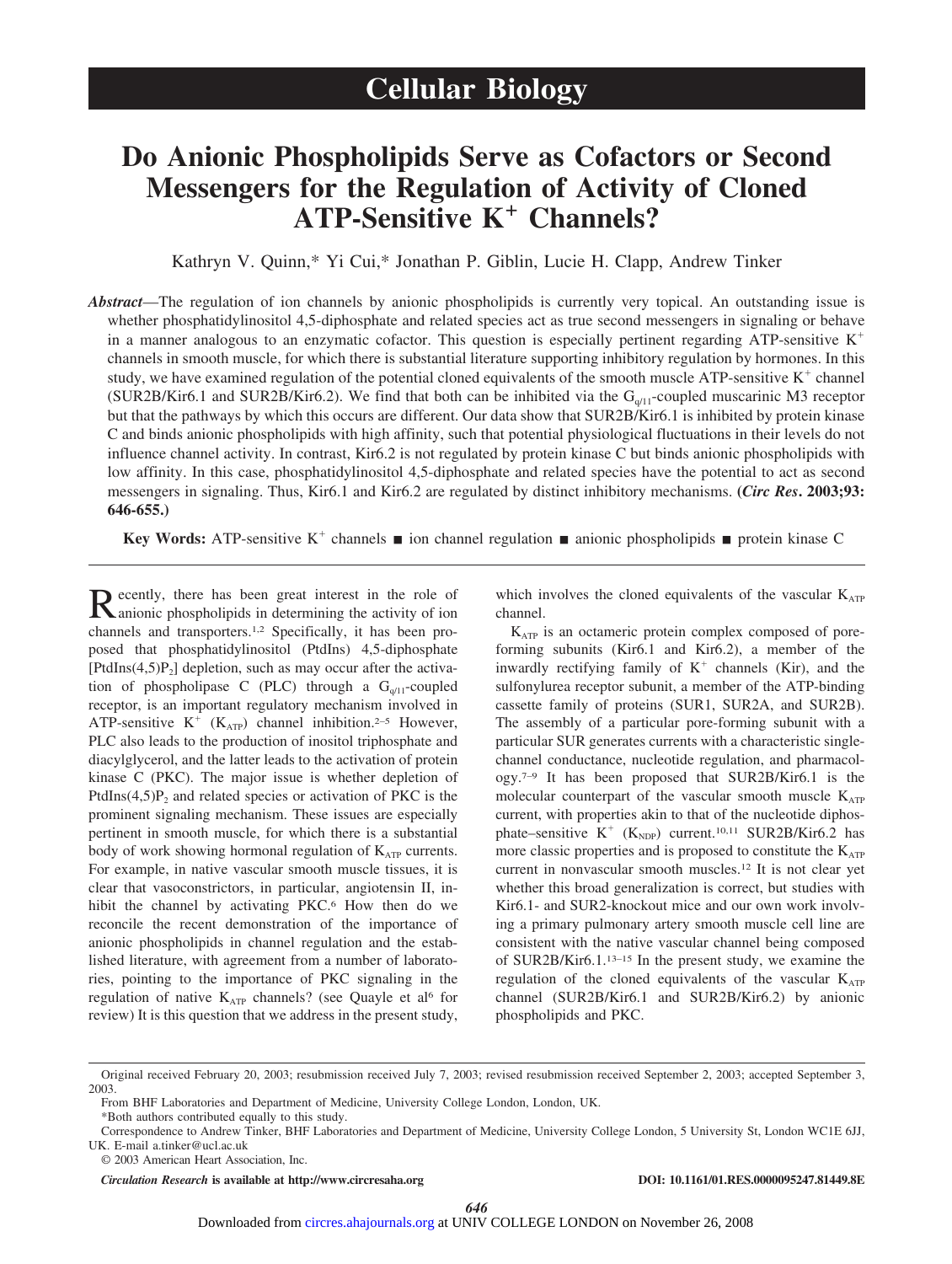# **Do Anionic Phospholipids Serve as Cofactors or Second Messengers for the Regulation of Activity of Cloned** ATP-Sensitive K<sup>+</sup> Channels?

Kathryn V. Quinn,\* Yi Cui,\* Jonathan P. Giblin, Lucie H. Clapp, Andrew Tinker

*Abstract*—The regulation of ion channels by anionic phospholipids is currently very topical. An outstanding issue is whether phosphatidylinositol 4,5-diphosphate and related species act as true second messengers in signaling or behave in a manner analogous to an enzymatic cofactor. This question is especially pertinent regarding ATP-sensitive  $K^+$ channels in smooth muscle, for which there is substantial literature supporting inhibitory regulation by hormones. In this study, we have examined regulation of the potential cloned equivalents of the smooth muscle ATP-sensitive  $K^+$  channel (SUR2B/Kir6.1 and SUR2B/Kir6.2). We find that both can be inhibited via the  $G<sub>q/11</sub>$ -coupled muscarinic M3 receptor but that the pathways by which this occurs are different. Our data show that SUR2B/Kir6.1 is inhibited by protein kinase C and binds anionic phospholipids with high affinity, such that potential physiological fluctuations in their levels do not influence channel activity. In contrast, Kir6.2 is not regulated by protein kinase C but binds anionic phospholipids with low affinity. In this case, phosphatidylinositol 4,5-diphosphate and related species have the potential to act as second messengers in signaling. Thus, Kir6.1 and Kir6.2 are regulated by distinct inhibitory mechanisms. **(***Circ Res***. 2003;93: 646-655.)**

**Key Words:** ATP-sensitive K<sup>+</sup> channels  $\blacksquare$  ion channel regulation  $\blacksquare$  anionic phospholipids  $\blacksquare$  protein kinase C

Recently, there has been great interest in the role of anionic phospholipids in determining the activity of ion channels and transporters.1,2 Specifically, it has been proposed that phosphatidylinositol (PtdIns) 4,5-diphosphate [PtdIns $(4,5)P_2$ ] depletion, such as may occur after the activation of phospholipase C (PLC) through a  $G<sub>q/11</sub>$ -coupled receptor, is an important regulatory mechanism involved in ATP-sensitive  $K^+$  ( $K_{ATP}$ ) channel inhibition.<sup>2–5</sup> However, PLC also leads to the production of inositol triphosphate and diacylglycerol, and the latter leads to the activation of protein kinase C (PKC). The major issue is whether depletion of PtdIns $(4,5)P_2$  and related species or activation of PKC is the prominent signaling mechanism. These issues are especially pertinent in smooth muscle, for which there is a substantial body of work showing hormonal regulation of  $K_{ATP}$  currents. For example, in native vascular smooth muscle tissues, it is clear that vasoconstrictors, in particular, angiotensin II, inhibit the channel by activating PKC.<sup>6</sup> How then do we reconcile the recent demonstration of the importance of anionic phospholipids in channel regulation and the established literature, with agreement from a number of laboratories, pointing to the importance of PKC signaling in the regulation of native  $K_{ATP}$  channels? (see Quayle et al<sup>6</sup> for review) It is this question that we address in the present study, which involves the cloned equivalents of the vascular  $K_{ATP}$ channel.

KATP is an octameric protein complex composed of poreforming subunits (Kir6.1 and Kir6.2), a member of the inwardly rectifying family of  $K^+$  channels (Kir), and the sulfonylurea receptor subunit, a member of the ATP-binding cassette family of proteins (SUR1, SUR2A, and SUR2B). The assembly of a particular pore-forming subunit with a particular SUR generates currents with a characteristic singlechannel conductance, nucleotide regulation, and pharmacology.7–9 It has been proposed that SUR2B/Kir6.1 is the molecular counterpart of the vascular smooth muscle  $K_{ATP}$ current, with properties akin to that of the nucleotide diphosphate–sensitive  $K^+$  (K<sub>NDP</sub>) current.<sup>10,11</sup> SUR2B/Kir6.2 has more classic properties and is proposed to constitute the  $K_{ATP}$ current in nonvascular smooth muscles.12 It is not clear yet whether this broad generalization is correct, but studies with Kir6.1- and SUR2-knockout mice and our own work involving a primary pulmonary artery smooth muscle cell line are consistent with the native vascular channel being composed of SUR2B/Kir6.1.13–15 In the present study, we examine the regulation of the cloned equivalents of the vascular  $K_{ATP}$ channel (SUR2B/Kir6.1 and SUR2B/Kir6.2) by anionic phospholipids and PKC.

Original received February 20, 2003; resubmission received July 7, 2003; revised resubmission received September 2, 2003; accepted September 3, 2003.

From BHF Laboratories and Department of Medicine, University College London, London, UK. \*Both authors contributed equally to this study.

Correspondence to Andrew Tinker, BHF Laboratories and Department of Medicine, University College London, 5 University St, London WC1E 6JJ, UK. E-mail a.tinker@ucl.ac.uk

<sup>© 2003</sup> American Heart Association, Inc.

*Circulation Research* is available at http://www.circresaha.org DOI: 10.1161/01.RES.0000095247.81449.8E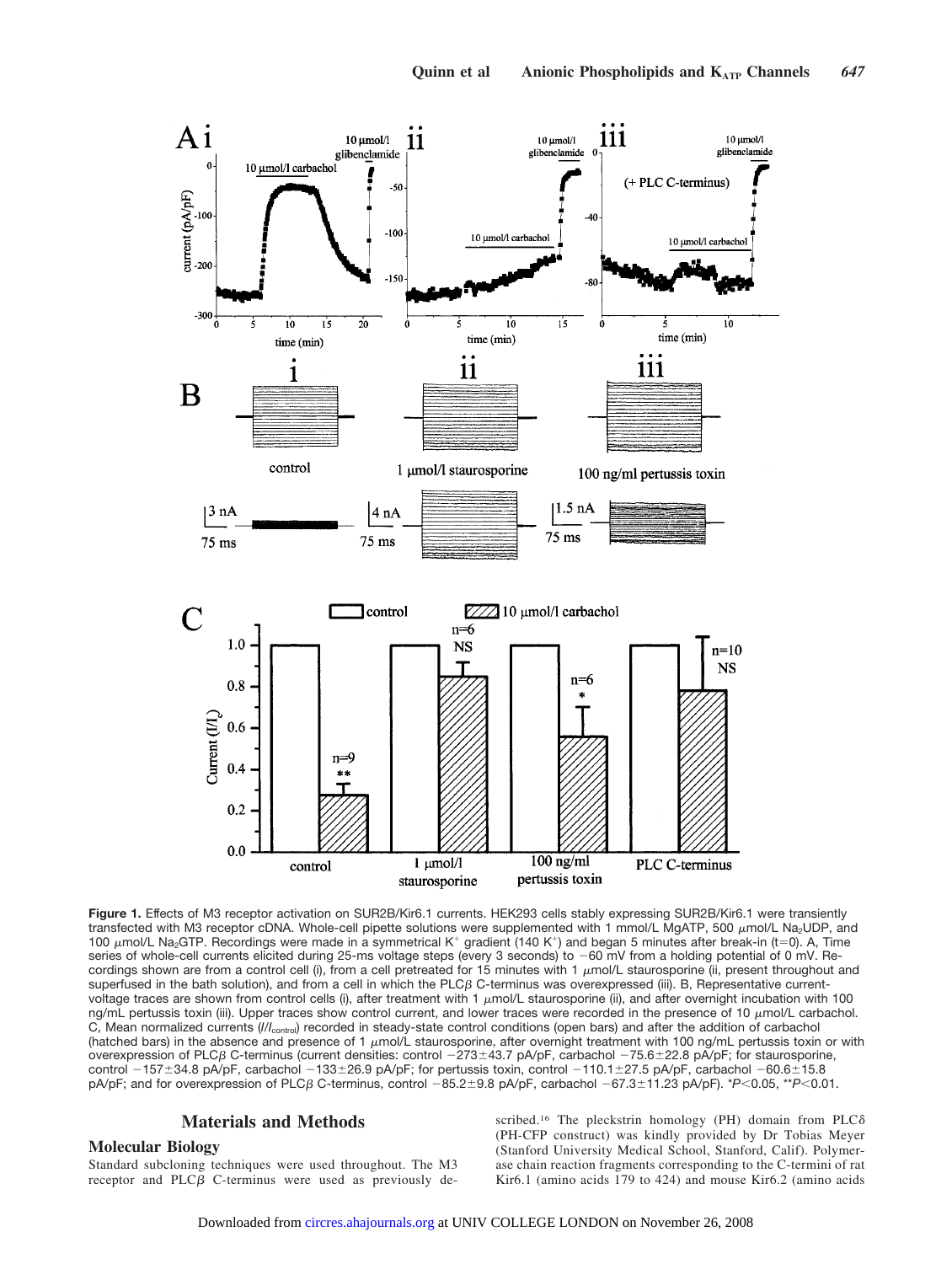

**Figure 1.** Effects of M3 receptor activation on SUR2B/Kir6.1 currents. HEK293 cells stably expressing SUR2B/Kir6.1 were transiently transfected with M3 receptor cDNA. Whole-cell pipette solutions were supplemented with 1 mmol/L MgATP, 500 µmol/L Na<sub>2</sub>UDP, and 100  $\mu$ mol/L Na<sub>2</sub>GTP. Recordings were made in a symmetrical K<sup>+</sup> gradient (140 K<sup>+</sup>) and began 5 minutes after break-in (t=0). A, Time series of whole-cell currents elicited during 25-ms voltage steps (every 3 seconds) to -60 mV from a holding potential of 0 mV. Recordings shown are from a control cell (i), from a cell pretreated for 15 minutes with 1  $\mu$ mol/L staurosporine (ii, present throughout and superfused in the bath solution), and from a cell in which the PLC $\beta$  C-terminus was overexpressed (iii). B, Representative currentvoltage traces are shown from control cells (i), after treatment with 1  $\mu$ mol/L staurosporine (ii), and after overnight incubation with 100 ng/mL pertussis toxin (iii). Upper traces show control current, and lower traces were recorded in the presence of 10  $\mu$ mol/L carbachol. C, Mean normalized currents (*I*/*I*control) recorded in steady-state control conditions (open bars) and after the addition of carbachol (hatched bars) in the absence and presence of 1  $\mu$ mol/L staurosporine, after overnight treatment with 100 ng/mL pertussis toxin or with overexpression of PLC $\beta$  C-terminus (current densities: control -273±43.7 pA/pF, carbachol -75.6±22.8 pA/pF; for staurosporine, control  $-157\pm34.8$  pA/pF, carbachol  $-133\pm26.9$  pA/pF; for pertussis toxin, control  $-110.1\pm27.5$  pA/pF, carbachol  $-60.6\pm15.8$ pA/pF; and for overexpression of PLC<sub>*B*</sub> C-terminus, control -85.2±9.8 pA/pF, carbachol -67.3±11.23 pA/pF). \**P*<0.05, \*\**P*<0.01.

# **Materials and Methods**

## **Molecular Biology**

Standard subcloning techniques were used throughout. The M3 receptor and  $PLC\beta$  C-terminus were used as previously de-

scribed.<sup>16</sup> The pleckstrin homology (PH) domain from PLC $\delta$ (PH-CFP construct) was kindly provided by Dr Tobias Meyer (Stanford University Medical School, Stanford, Calif). Polymerase chain reaction fragments corresponding to the C-termini of rat Kir6.1 (amino acids 179 to 424) and mouse Kir6.2 (amino acids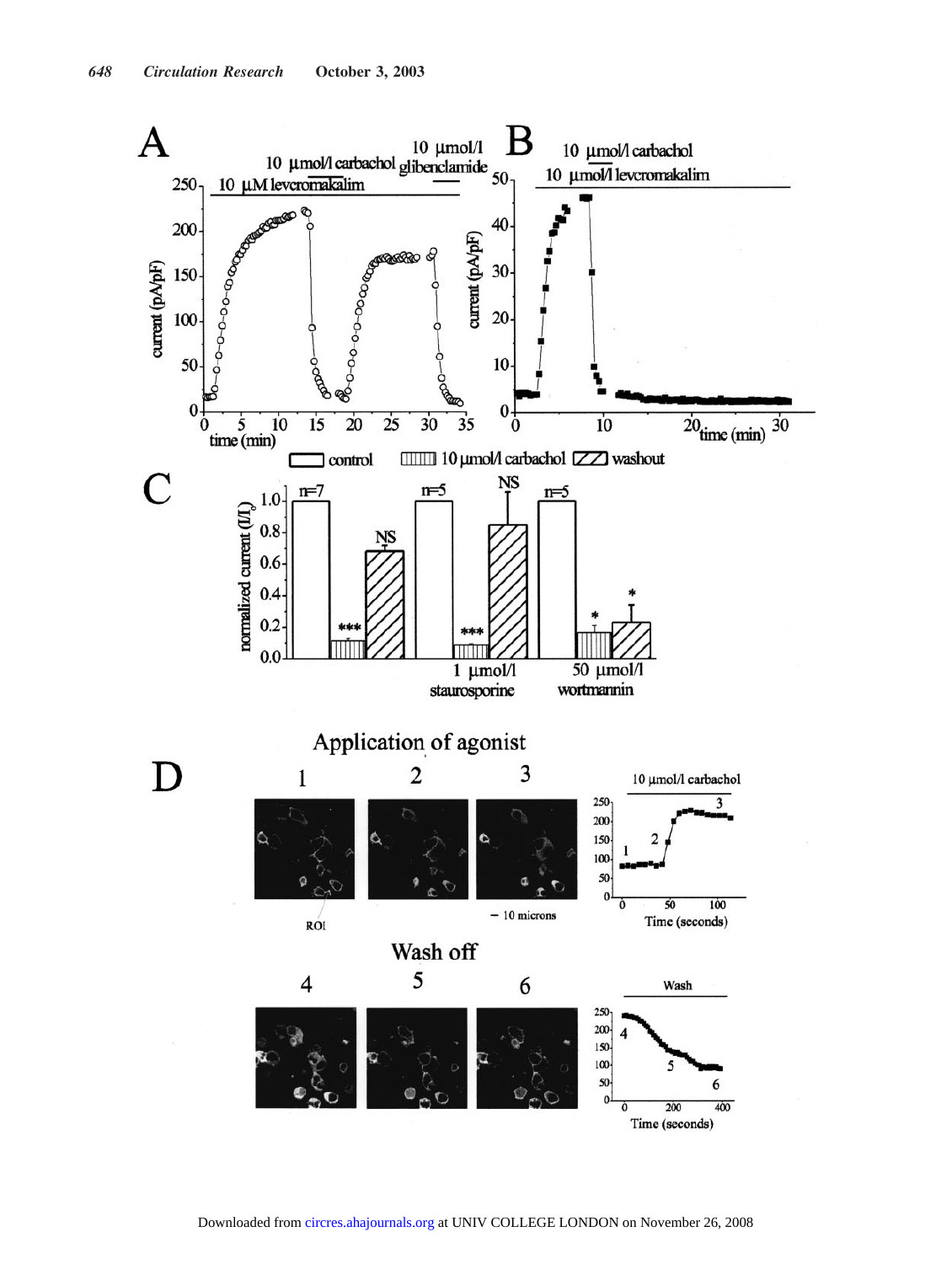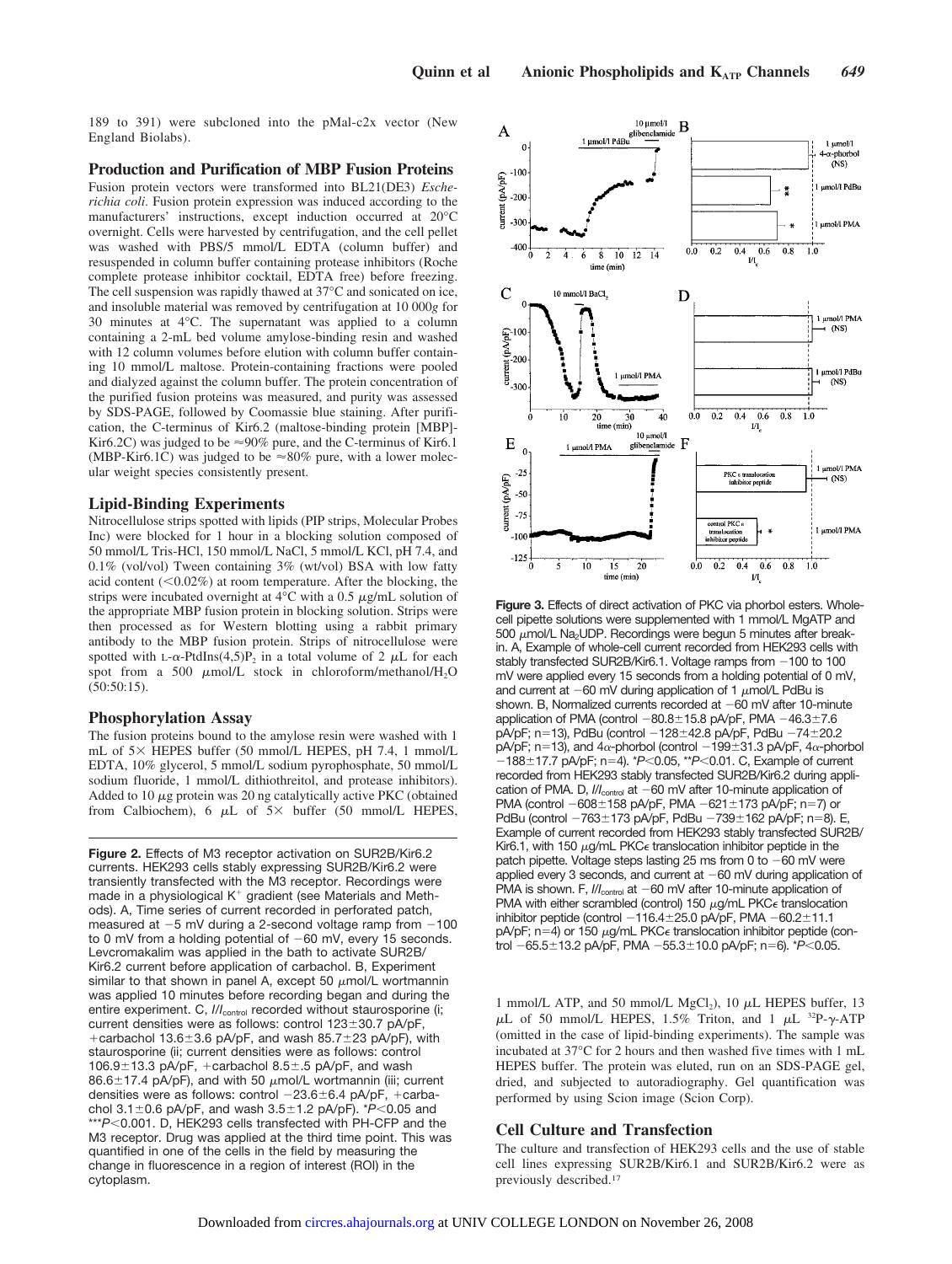189 to 391) were subcloned into the pMal-c2x vector (New England Biolabs).

#### **Production and Purification of MBP Fusion Proteins**

Fusion protein vectors were transformed into BL21(DE3) *Escherichia coli*. Fusion protein expression was induced according to the manufacturers' instructions, except induction occurred at 20°C overnight. Cells were harvested by centrifugation, and the cell pellet was washed with PBS/5 mmol/L EDTA (column buffer) and resuspended in column buffer containing protease inhibitors (Roche complete protease inhibitor cocktail, EDTA free) before freezing. The cell suspension was rapidly thawed at 37°C and sonicated on ice, and insoluble material was removed by centrifugation at 10 000*g* for 30 minutes at 4°C. The supernatant was applied to a column containing a 2-mL bed volume amylose-binding resin and washed with 12 column volumes before elution with column buffer containing 10 mmol/L maltose. Protein-containing fractions were pooled and dialyzed against the column buffer. The protein concentration of the purified fusion proteins was measured, and purity was assessed by SDS-PAGE, followed by Coomassie blue staining. After purification, the C-terminus of Kir6.2 (maltose-binding protein [MBP]- Kir6.2C) was judged to be  $\approx 90\%$  pure, and the C-terminus of Kir6.1 (MBP-Kir6.1C) was judged to be  $\approx 80\%$  pure, with a lower molecular weight species consistently present.

## **Lipid-Binding Experiments**

Nitrocellulose strips spotted with lipids (PIP strips, Molecular Probes Inc) were blocked for 1 hour in a blocking solution composed of 50 mmol/L Tris-HCl, 150 mmol/L NaCl, 5 mmol/L KCl, pH 7.4, and 0.1% (vol/vol) Tween containing 3% (wt/vol) BSA with low fatty acid content  $(<0.02\%)$  at room temperature. After the blocking, the strips were incubated overnight at  $4^{\circ}$ C with a 0.5  $\mu$ g/mL solution of the appropriate MBP fusion protein in blocking solution. Strips were then processed as for Western blotting using a rabbit primary antibody to the MBP fusion protein. Strips of nitrocellulose were spotted with L- $\alpha$ -PtdIns(4,5)P<sub>2</sub> in a total volume of 2  $\mu$ L for each spot from a 500  $\mu$ mol/L stock in chloroform/methanol/H<sub>2</sub>O (50:50:15).

#### **Phosphorylation Assay**

The fusion proteins bound to the amylose resin were washed with 1 mL of  $5\times$  HEPES buffer (50 mmol/L HEPES, pH 7.4, 1 mmol/L EDTA, 10% glycerol, 5 mmol/L sodium pyrophosphate, 50 mmol/L sodium fluoride, 1 mmol/L dithiothreitol, and protease inhibitors). Added to 10  $\mu$ g protein was 20 ng catalytically active PKC (obtained from Calbiochem), 6  $\mu$ L of 5× buffer (50 mmol/L HEPES,

**Figure 2.** Effects of M3 receptor activation on SUR2B/Kir6.2 currents. HEK293 cells stably expressing SUR2B/Kir6.2 were transiently transfected with the M3 receptor. Recordings were made in a physiological  $K^+$  gradient (see Materials and Methods). A, Time series of current recorded in perforated patch, measured at  $-5$  mV during a 2-second voltage ramp from  $-100$ to 0 mV from a holding potential of  $-60$  mV, every 15 seconds. Levcromakalim was applied in the bath to activate SUR2B/ Kir6.2 current before application of carbachol. B, Experiment similar to that shown in panel A, except 50  $\mu$ mol/L wortmannin was applied 10 minutes before recording began and during the entire experiment. C,  $I/I_{control}$  recorded without staurosporine (i; current densities were as follows: control  $123 \pm 30.7$  pA/pF, +carbachol 13.6 $\pm$ 3.6 pA/pF, and wash 85.7 $\pm$ 23 pA/pF), with staurosporine (ii; current densities were as follows: control 106.9 $\pm$ 13.3 pA/pF, +carbachol 8.5 $\pm$ .5 pA/pF, and wash 86.6 $\pm$ 17.4 pA/pF), and with 50  $\mu$ mol/L wortmannin (iii; current densities were as follows: control  $-23.6\pm 6.4$  pA/pF,  $+$ carbachol  $3.1 \pm 0.6$  pA/pF, and wash  $3.5 \pm 1.2$  pA/pF). \**P*<0.05 and \*\*\*P<0.001. D, HEK293 cells transfected with PH-CFP and the M3 receptor. Drug was applied at the third time point. This was quantified in one of the cells in the field by measuring the change in fluorescence in a region of interest (ROI) in the cytoplasm.



Figure 3. Effects of direct activation of PKC via phorbol esters. Wholecell pipette solutions were supplemented with 1 mmol/L MgATP and 500  $\mu$ mol/L Na<sub>2</sub>UDP. Recordings were begun 5 minutes after breakin. A, Example of whole-cell current recorded from HEK293 cells with stably transfected SUR2B/Kir6.1. Voltage ramps from  $-100$  to 100 mV were applied every 15 seconds from a holding potential of 0 mV, and current at  $-60$  mV during application of 1  $\mu$ mol/L PdBu is shown. B, Normalized currents recorded at  $-60$  mV after 10-minute application of PMA (control  $-80.8\pm15.8$  pA/pF, PMA  $-46.3\pm7.6$ pA/pF; n=13), PdBu (control  $-128\pm 42.8$  pA/pF, PdBu  $-74\pm 20.2$ pA/pF; n=13), and 4 $\alpha$ -phorbol (control  $-$ 199 $\pm$ 31.3 pA/pF, 4 $\alpha$ -phorbol -188±17.7 pA/pF; n=4). \**P*<0.05, \*\**P*<0.01. C, Example of current recorded from HEK293 stably transfected SUR2B/Kir6.2 during application of PMA. D, *I/I*<sub>control</sub> at -60 mV after 10-minute application of PMA (control  $-608\pm158$  pA/pF, PMA  $-621\pm173$  pA/pF; n=7) or PdBu (control  $-763\pm 173$  pA/pF, PdBu  $-739\pm 162$  pA/pF; n=8). E, Example of current recorded from HEK293 stably transfected SUR2B/ Kir6.1, with 150  $\mu$ g/mL PKC $\epsilon$  translocation inhibitor peptide in the patch pipette. Voltage steps lasting 25 ms from 0 to  $-60$  mV were applied every 3 seconds, and current at  $-60$  mV during application of PMA is shown. F,  $\mathit{II}_{\mathsf{control}}$  at  $-60$  mV after 10-minute application of PMA with either scrambled (control) 150  $\mu$ g/mL PKC $\epsilon$  translocation inhibitor peptide (control  $-116.4\pm25.0$  pA/pF, PMA  $-60.2\pm11.1$  $pA/pF$ ; n=4) or 150  $\mu g/mL$  PKC $\epsilon$  translocation inhibitor peptide (control  $-65.5\pm$ 13.2 pA/pF, PMA  $-55.3\pm$ 10.0 pA/pF; n=6). \*P<0.05.

1 mmol/L ATP, and 50 mmol/L MgCl<sub>2</sub>), 10  $\mu$ L HEPES buffer, 13  $\mu$ L of 50 mmol/L HEPES, 1.5% Triton, and 1  $\mu$ L <sup>32</sup>P- $\gamma$ -ATP (omitted in the case of lipid-binding experiments). The sample was incubated at 37°C for 2 hours and then washed five times with 1 mL HEPES buffer. The protein was eluted, run on an SDS-PAGE gel, dried, and subjected to autoradiography. Gel quantification was performed by using Scion image (Scion Corp).

## **Cell Culture and Transfection**

The culture and transfection of HEK293 cells and the use of stable cell lines expressing SUR2B/Kir6.1 and SUR2B/Kir6.2 were as previously described.17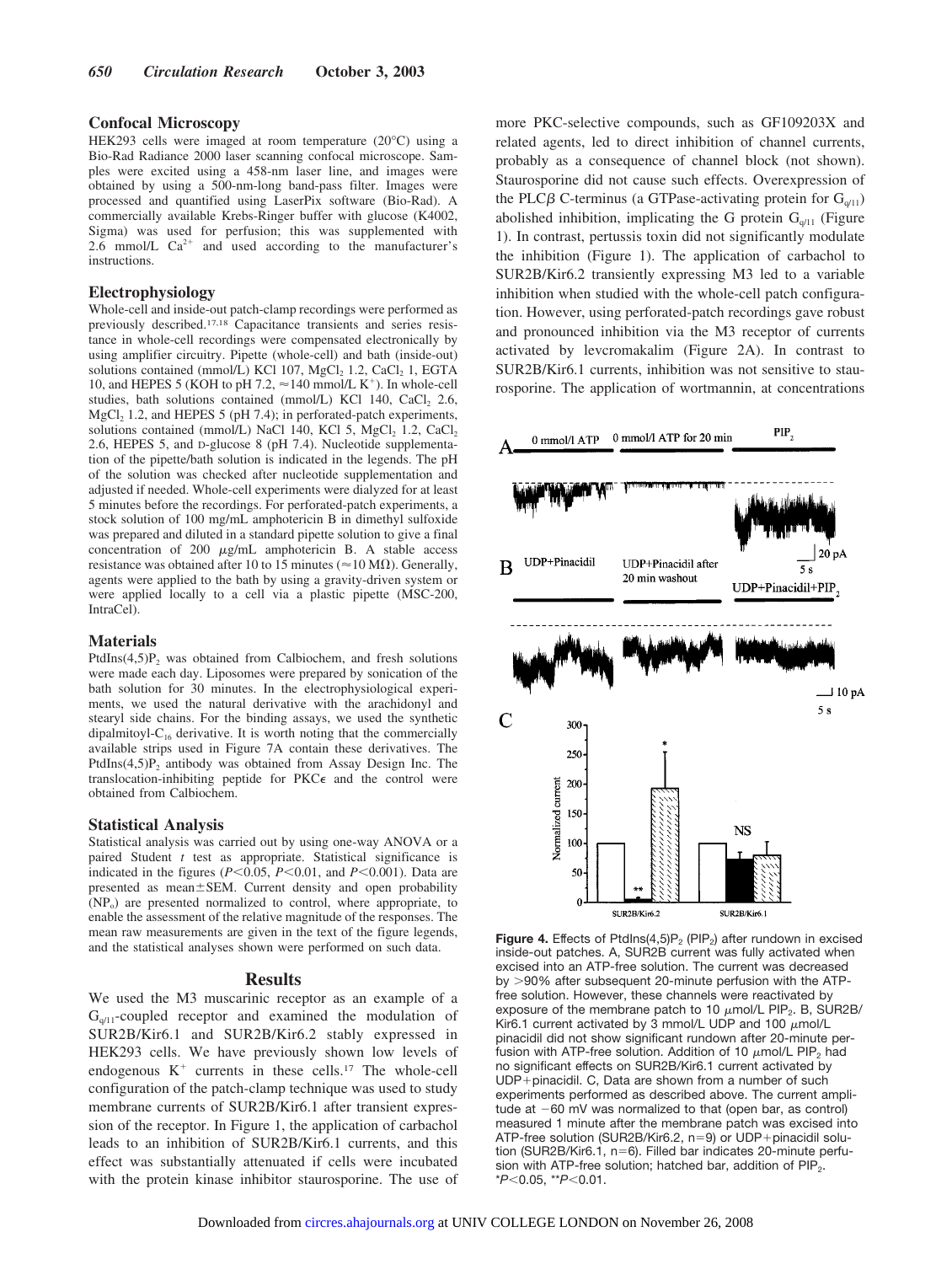#### **Confocal Microscopy**

HEK293 cells were imaged at room temperature (20°C) using a Bio-Rad Radiance 2000 laser scanning confocal microscope. Samples were excited using a 458-nm laser line, and images were obtained by using a 500-nm-long band-pass filter. Images were processed and quantified using LaserPix software (Bio-Rad). A commercially available Krebs-Ringer buffer with glucose (K4002, Sigma) was used for perfusion; this was supplemented with 2.6 mmol/L  $Ca^{2+}$  and used according to the manufacturer's instructions.

#### **Electrophysiology**

Whole-cell and inside-out patch-clamp recordings were performed as previously described.17,18 Capacitance transients and series resistance in whole-cell recordings were compensated electronically by using amplifier circuitry. Pipette (whole-cell) and bath (inside-out) solutions contained (mmol/L) KCl 107, MgCl<sub>2</sub> 1.2, CaCl<sub>2</sub> 1, EGTA 10, and HEPES 5 (KOH to pH 7.2,  $\approx$  140 mmol/L K<sup>+</sup>). In whole-cell studies, bath solutions contained (mmol/L) KCl 140, CaCl<sub>2</sub> 2.6,  $MgCl<sub>2</sub>$  1.2, and HEPES 5 (pH 7.4); in perforated-patch experiments, solutions contained (mmol/L) NaCl 140, KCl 5, MgCl<sub>2</sub> 1.2, CaCl<sub>2</sub> 2.6, HEPES 5, and D-glucose 8 (pH 7.4). Nucleotide supplementation of the pipette/bath solution is indicated in the legends. The pH of the solution was checked after nucleotide supplementation and adjusted if needed. Whole-cell experiments were dialyzed for at least 5 minutes before the recordings. For perforated-patch experiments, a stock solution of 100 mg/mL amphotericin B in dimethyl sulfoxide was prepared and diluted in a standard pipette solution to give a final concentration of 200  $\mu$ g/mL amphotericin B. A stable access resistance was obtained after 10 to 15 minutes ( $\approx$  10 M $\Omega$ ). Generally, agents were applied to the bath by using a gravity-driven system or were applied locally to a cell via a plastic pipette (MSC-200, IntraCel).

## **Materials**

PtdIns $(4,5)P_2$  was obtained from Calbiochem, and fresh solutions were made each day. Liposomes were prepared by sonication of the bath solution for 30 minutes. In the electrophysiological experiments, we used the natural derivative with the arachidonyl and stearyl side chains. For the binding assays, we used the synthetic dipalmitoyl- $C_{16}$  derivative. It is worth noting that the commercially available strips used in Figure 7A contain these derivatives. The PtdIns $(4,5)P_2$  antibody was obtained from Assay Design Inc. The translocation-inhibiting peptide for  $PKC \epsilon$  and the control were obtained from Calbiochem.

#### **Statistical Analysis**

Statistical analysis was carried out by using one-way ANOVA or a paired Student *t* test as appropriate. Statistical significance is indicated in the figures ( $P<0.05$ ,  $P<0.01$ , and  $P<0.001$ ). Data are presented as mean $\pm$ SEM. Current density and open probability  $(NP<sub>o</sub>)$  are presented normalized to control, where appropriate, to enable the assessment of the relative magnitude of the responses. The mean raw measurements are given in the text of the figure legends, and the statistical analyses shown were performed on such data.

## **Results**

We used the M3 muscarinic receptor as an example of a  $G<sub>q/11</sub>$ -coupled receptor and examined the modulation of SUR2B/Kir6.1 and SUR2B/Kir6.2 stably expressed in HEK293 cells. We have previously shown low levels of endogenous  $K^+$  currents in these cells.<sup>17</sup> The whole-cell configuration of the patch-clamp technique was used to study membrane currents of SUR2B/Kir6.1 after transient expression of the receptor. In Figure 1, the application of carbachol leads to an inhibition of SUR2B/Kir6.1 currents, and this effect was substantially attenuated if cells were incubated with the protein kinase inhibitor staurosporine. The use of more PKC-selective compounds, such as GF109203X and related agents, led to direct inhibition of channel currents, probably as a consequence of channel block (not shown). Staurosporine did not cause such effects. Overexpression of the PLC $\beta$  C-terminus (a GTPase-activating protein for  $G_{q(1)}$ ) abolished inhibition, implicating the G protein  $G_{q/11}$  (Figure 1). In contrast, pertussis toxin did not significantly modulate the inhibition (Figure 1). The application of carbachol to SUR2B/Kir6.2 transiently expressing M3 led to a variable inhibition when studied with the whole-cell patch configuration. However, using perforated-patch recordings gave robust and pronounced inhibition via the M3 receptor of currents activated by levcromakalim (Figure 2A). In contrast to SUR2B/Kir6.1 currents, inhibition was not sensitive to staurosporine. The application of wortmannin, at concentrations



**Figure 4.** Effects of PtdIns(4,5)P<sub>2</sub> (PIP<sub>2</sub>) after rundown in excised inside-out patches. A, SUR2B current was fully activated when excised into an ATP-free solution. The current was decreased by >90% after subsequent 20-minute perfusion with the ATPfree solution. However, these channels were reactivated by exposure of the membrane patch to 10  $\mu$ mol/L PIP<sub>2</sub>. B, SUR2B/ Kir6.1 current activated by 3 mmol/L UDP and 100  $\mu$ mol/L pinacidil did not show significant rundown after 20-minute perfusion with ATP-free solution. Addition of 10  $\mu$ mol/L PIP<sub>2</sub> had no significant effects on SUR2B/Kir6.1 current activated by UDP+pinacidil. C, Data are shown from a number of such experiments performed as described above. The current amplitude at  $-60$  mV was normalized to that (open bar, as control) measured 1 minute after the membrane patch was excised into ATP-free solution (SUR2B/Kir6.2, n=9) or UDP+pinacidil solution (SUR2B/Kir6.1, n=6). Filled bar indicates 20-minute perfusion with ATP-free solution; hatched bar, addition of  $PIP_2$ . \**P*0.05, \*\**P*0.01.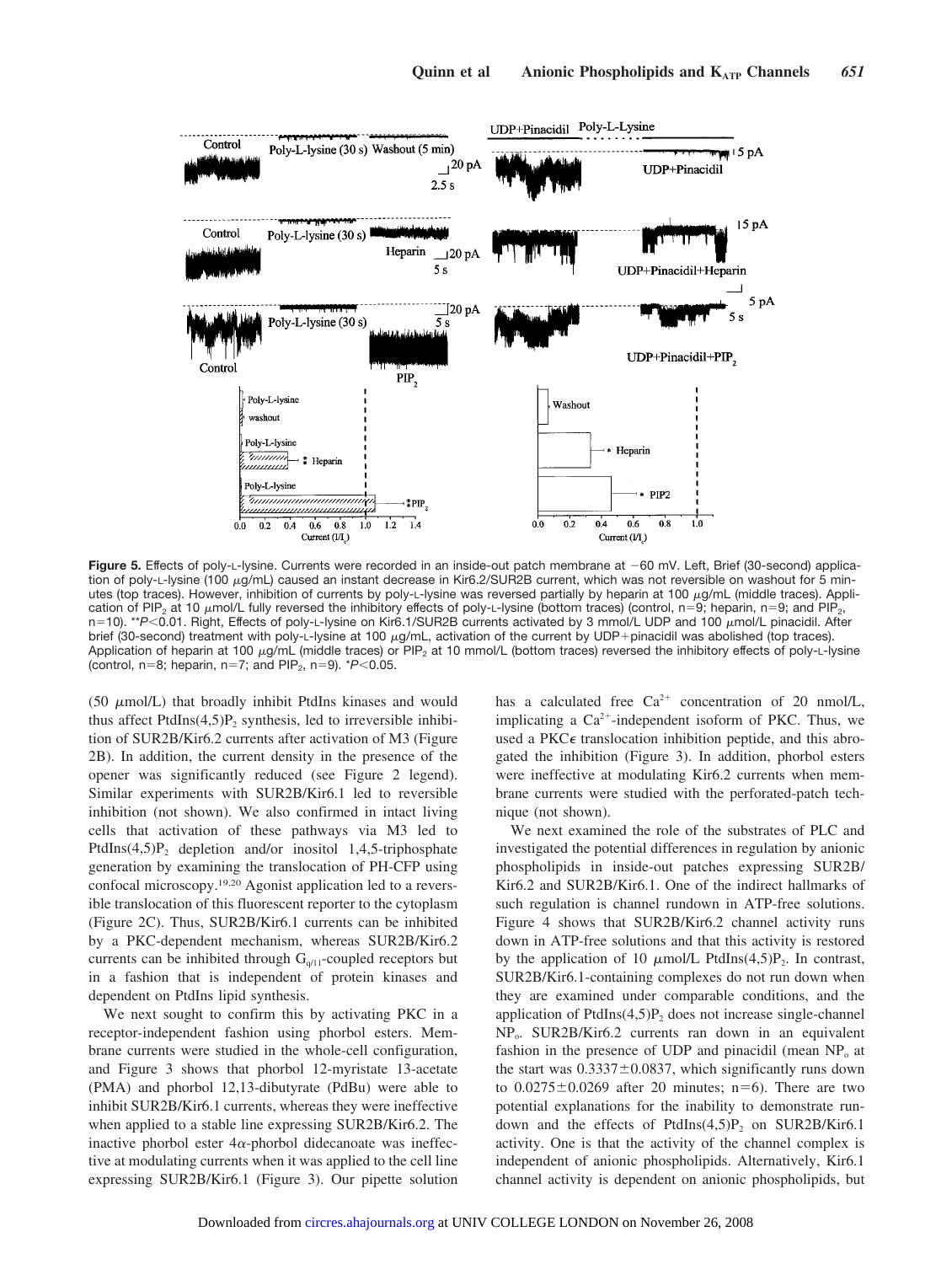

Figure 5. Effects of poly-L-lysine. Currents were recorded in an inside-out patch membrane at  $-60$  mV. Left, Brief (30-second) application of poly-L-lysine (100 µg/mL) caused an instant decrease in Kir6.2/SUR2B current, which was not reversible on washout for 5 minutes (top traces). However, inhibition of currents by poly-L-lysine was reversed partially by heparin at 100 µg/mL (middle traces). Application of PIP<sub>2</sub> at 10  $\mu$ mol/L fully reversed the inhibitory effects of poly-L-lysine (bottom traces) (control, n=9; heparin, n=9; and PIP<sub>2</sub>, n=10). \*\**P<*0.01. Right, Effects of poly-L-lysine on Kir6.1/SUR2B currents activated by 3 mmol/L UDP and 100 μmol/L pinacidil. After brief (30-second) treatment with poly-L-lysine at 100  $\mu$ g/mL, activation of the current by UDP+pinacidil was abolished (top traces). Application of heparin at 100  $\mu$ g/mL (middle traces) or PIP<sub>2</sub> at 10 mmol/L (bottom traces) reversed the inhibitory effects of poly-L-lysine (control,  $n=8$ ; heparin,  $n=7$ ; and  $PIP_2$ ,  $n=9$ ).  $*P<0.05$ .

(50  $\mu$ mol/L) that broadly inhibit PtdIns kinases and would thus affect PtdIns $(4,5)P_2$  synthesis, led to irreversible inhibition of SUR2B/Kir6.2 currents after activation of M3 (Figure 2B). In addition, the current density in the presence of the opener was significantly reduced (see Figure 2 legend). Similar experiments with SUR2B/Kir6.1 led to reversible inhibition (not shown). We also confirmed in intact living cells that activation of these pathways via M3 led to PtdIns $(4,5)$ P<sub>2</sub> depletion and/or inositol 1,4,5-triphosphate generation by examining the translocation of PH-CFP using confocal microscopy.19,20 Agonist application led to a reversible translocation of this fluorescent reporter to the cytoplasm (Figure 2C). Thus, SUR2B/Kir6.1 currents can be inhibited by a PKC-dependent mechanism, whereas SUR2B/Kir6.2 currents can be inhibited through  $G<sub>q/11</sub>$ -coupled receptors but in a fashion that is independent of protein kinases and dependent on PtdIns lipid synthesis.

We next sought to confirm this by activating PKC in a receptor-independent fashion using phorbol esters. Membrane currents were studied in the whole-cell configuration, and Figure 3 shows that phorbol 12-myristate 13-acetate (PMA) and phorbol 12,13-dibutyrate (PdBu) were able to inhibit SUR2B/Kir6.1 currents, whereas they were ineffective when applied to a stable line expressing SUR2B/Kir6.2. The inactive phorbol ester  $4\alpha$ -phorbol didecanoate was ineffective at modulating currents when it was applied to the cell line expressing SUR2B/Kir6.1 (Figure 3). Our pipette solution

has a calculated free  $Ca^{2+}$  concentration of 20 nmol/L, implicating a  $Ca^{2+}$ -independent isoform of PKC. Thus, we used a PKC $\epsilon$  translocation inhibition peptide, and this abrogated the inhibition (Figure 3). In addition, phorbol esters were ineffective at modulating Kir6.2 currents when membrane currents were studied with the perforated-patch technique (not shown).

We next examined the role of the substrates of PLC and investigated the potential differences in regulation by anionic phospholipids in inside-out patches expressing SUR2B/ Kir6.2 and SUR2B/Kir6.1. One of the indirect hallmarks of such regulation is channel rundown in ATP-free solutions. Figure 4 shows that SUR2B/Kir6.2 channel activity runs down in ATP-free solutions and that this activity is restored by the application of 10  $\mu$ mol/L PtdIns(4,5)P<sub>2</sub>. In contrast, SUR2B/Kir6.1-containing complexes do not run down when they are examined under comparable conditions, and the application of  $PtdIns(4,5)P_2$  does not increase single-channel NP<sub>o</sub>. SUR2B/Kir6.2 currents ran down in an equivalent fashion in the presence of UDP and pinacidil (mean  $NP_0$  at the start was  $0.3337 \pm 0.0837$ , which significantly runs down to  $0.0275 \pm 0.0269$  after 20 minutes; n=6). There are two potential explanations for the inability to demonstrate rundown and the effects of PtdIns $(4,5)P_2$  on SUR2B/Kir6.1 activity. One is that the activity of the channel complex is independent of anionic phospholipids. Alternatively, Kir6.1 channel activity is dependent on anionic phospholipids, but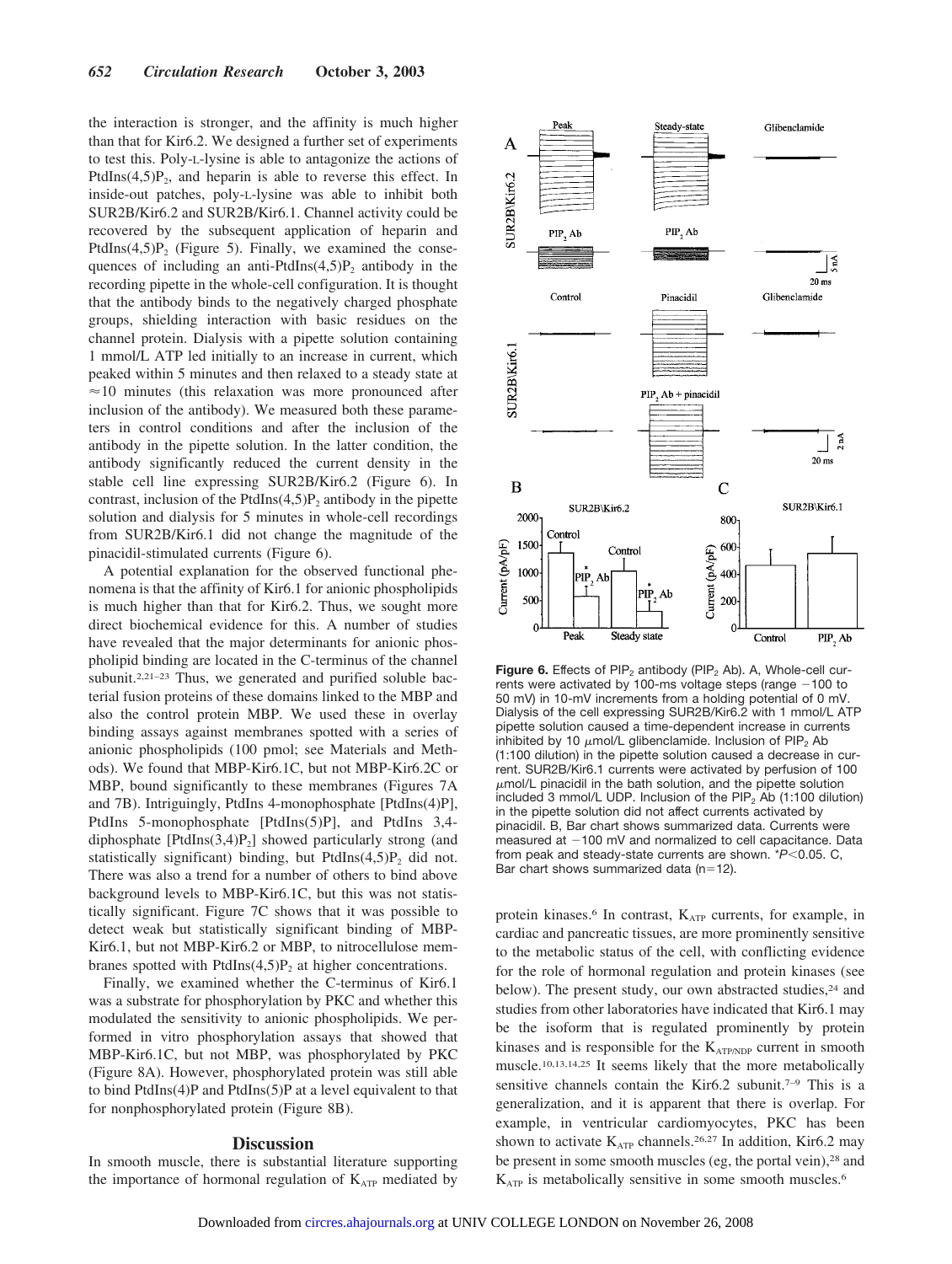the interaction is stronger, and the affinity is much higher than that for Kir6.2. We designed a further set of experiments to test this. Poly-L-lysine is able to antagonize the actions of PtdIns $(4,5)P_2$ , and heparin is able to reverse this effect. In inside-out patches, poly-L-lysine was able to inhibit both SUR2B/Kir6.2 and SUR2B/Kir6.1. Channel activity could be recovered by the subsequent application of heparin and PtdIns $(4,5)P_2$  (Figure 5). Finally, we examined the consequences of including an anti-PtdIns $(4,5)P_2$  antibody in the recording pipette in the whole-cell configuration. It is thought that the antibody binds to the negatively charged phosphate groups, shielding interaction with basic residues on the channel protein. Dialysis with a pipette solution containing 1 mmol/L ATP led initially to an increase in current, which peaked within 5 minutes and then relaxed to a steady state at  $\approx$ 10 minutes (this relaxation was more pronounced after inclusion of the antibody). We measured both these parameters in control conditions and after the inclusion of the antibody in the pipette solution. In the latter condition, the antibody significantly reduced the current density in the stable cell line expressing SUR2B/Kir6.2 (Figure 6). In contrast, inclusion of the PtdIns $(4,5)P_2$  antibody in the pipette solution and dialysis for 5 minutes in whole-cell recordings from SUR2B/Kir6.1 did not change the magnitude of the pinacidil-stimulated currents (Figure 6).

A potential explanation for the observed functional phenomena is that the affinity of Kir6.1 for anionic phospholipids is much higher than that for Kir6.2. Thus, we sought more direct biochemical evidence for this. A number of studies have revealed that the major determinants for anionic phospholipid binding are located in the C-terminus of the channel subunit.<sup>2,21-23</sup> Thus, we generated and purified soluble bacterial fusion proteins of these domains linked to the MBP and also the control protein MBP. We used these in overlay binding assays against membranes spotted with a series of anionic phospholipids (100 pmol; see Materials and Methods). We found that MBP-Kir6.1C, but not MBP-Kir6.2C or MBP, bound significantly to these membranes (Figures 7A and 7B). Intriguingly, PtdIns 4-monophosphate [PtdIns(4)P], PtdIns 5-monophosphate [PtdIns(5)P], and PtdIns 3,4 diphosphate  $[PtdIns(3,4)P_2]$  showed particularly strong (and statistically significant) binding, but PtdIns $(4,5)P_2$  did not. There was also a trend for a number of others to bind above background levels to MBP-Kir6.1C, but this was not statistically significant. Figure 7C shows that it was possible to detect weak but statistically significant binding of MBP-Kir6.1, but not MBP-Kir6.2 or MBP, to nitrocellulose membranes spotted with PtdIns $(4,5)P_2$  at higher concentrations.

Finally, we examined whether the C-terminus of Kir6.1 was a substrate for phosphorylation by PKC and whether this modulated the sensitivity to anionic phospholipids. We performed in vitro phosphorylation assays that showed that MBP-Kir6.1C, but not MBP, was phosphorylated by PKC (Figure 8A). However, phosphorylated protein was still able to bind PtdIns(4)P and PtdIns(5)P at a level equivalent to that for nonphosphorylated protein (Figure 8B).

## **Discussion**

In smooth muscle, there is substantial literature supporting the importance of hormonal regulation of  $K_{ATP}$  mediated by



**Figure 6.** Effects of PIP<sub>2</sub> antibody (PIP<sub>2</sub> Ab). A, Whole-cell currents were activated by 100-ms voltage steps (range  $-100$  to 50 mV) in 10-mV increments from a holding potential of 0 mV. Dialysis of the cell expressing SUR2B/Kir6.2 with 1 mmol/L ATP pipette solution caused a time-dependent increase in currents inhibited by 10  $\mu$ mol/L glibenclamide. Inclusion of PIP<sub>2</sub> Ab (1:100 dilution) in the pipette solution caused a decrease in current. SUR2B/Kir6.1 currents were activated by perfusion of 100  $\mu$ mol/L pinacidil in the bath solution, and the pipette solution included 3 mmol/L UDP. Inclusion of the PIP<sub>2</sub> Ab (1:100 dilution) in the pipette solution did not affect currents activated by pinacidil. B, Bar chart shows summarized data. Currents were measured at  $-100$  mV and normalized to cell capacitance. Data from peak and steady-state currents are shown. \**P*<0.05. C, Bar chart shows summarized data  $(n=12)$ .

protein kinases.<sup>6</sup> In contrast, K<sub>ATP</sub> currents, for example, in cardiac and pancreatic tissues, are more prominently sensitive to the metabolic status of the cell, with conflicting evidence for the role of hormonal regulation and protein kinases (see below). The present study, our own abstracted studies,<sup>24</sup> and studies from other laboratories have indicated that Kir6.1 may be the isoform that is regulated prominently by protein kinases and is responsible for the  $K_{ATP/NDP}$  current in smooth muscle.10,13,14,25 It seems likely that the more metabolically sensitive channels contain the Kir6.2 subunit.<sup>7-9</sup> This is a generalization, and it is apparent that there is overlap. For example, in ventricular cardiomyocytes, PKC has been shown to activate  $K_{ATP}$  channels.<sup>26,27</sup> In addition, Kir6.2 may be present in some smooth muscles (eg, the portal vein),<sup>28</sup> and  $K_{ATP}$  is metabolically sensitive in some smooth muscles.<sup>6</sup>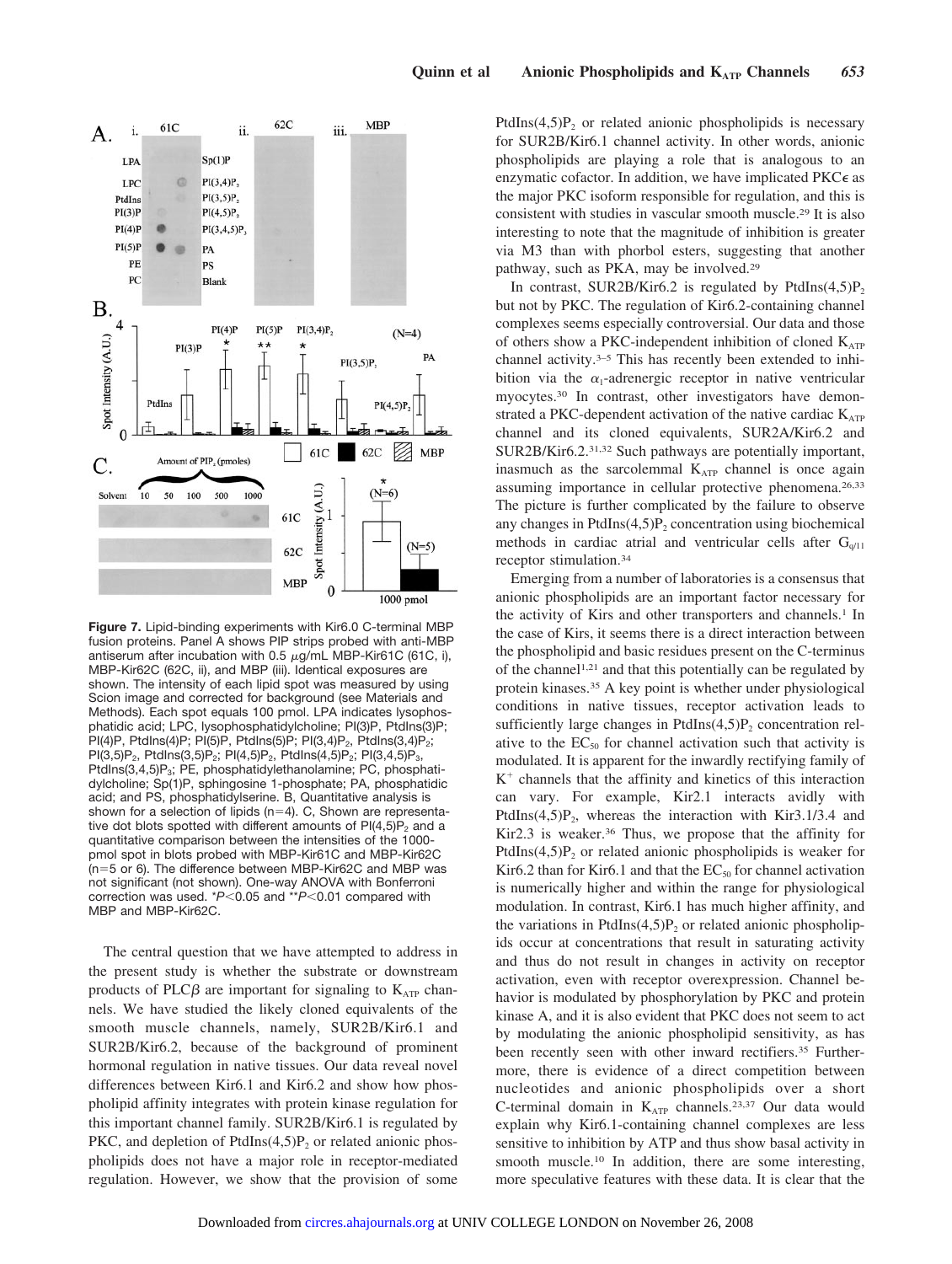



**Figure 7.** Lipid-binding experiments with Kir6.0 C-terminal MBP fusion proteins. Panel A shows PIP strips probed with anti-MBP antiserum after incubation with 0.5  $\mu$ g/mL MBP-Kir61C (61C, i), MBP-Kir62C (62C, ii), and MBP (iii). Identical exposures are shown. The intensity of each lipid spot was measured by using Scion image and corrected for background (see Materials and Methods). Each spot equals 100 pmol. LPA indicates lysophosphatidic acid; LPC, lysophosphatidylcholine; PI(3)P, PtdIns(3)P; PI(4)P, PtdIns(4)P; PI(5)P, PtdIns(5)P; PI(3,4)P<sub>2</sub>, PtdIns(3,4)P<sub>2</sub>; PI(3,5)P<sub>2</sub>, PtdIns(3,5)P<sub>2</sub>; PI(4,5)P<sub>2</sub>, PtdIns(4,5)P<sub>2</sub>; PI(3,4,5)P<sub>3</sub>, PtdIns(3,4,5)P<sub>3</sub>; PE, phosphatidylethanolamine; PC, phosphatidylcholine; Sp(1)P, sphingosine 1-phosphate; PA, phosphatidic acid; and PS, phosphatidylserine. B, Quantitative analysis is shown for a selection of lipids (n=4). C, Shown are representative dot blots spotted with different amounts of  $PI(4,5)P<sub>2</sub>$  and a quantitative comparison between the intensities of the 1000 pmol spot in blots probed with MBP-Kir61C and MBP-Kir62C (n-5 or 6). The difference between MBP-Kir62C and MBP was not significant (not shown). One-way ANOVA with Bonferroni correction was used. \**P*<0.05 and \*\**P*<0.01 compared with MBP and MBP-Kir62C.

The central question that we have attempted to address in the present study is whether the substrate or downstream products of PLC $\beta$  are important for signaling to  $K_{ATP}$  channels. We have studied the likely cloned equivalents of the smooth muscle channels, namely, SUR2B/Kir6.1 and SUR2B/Kir6.2, because of the background of prominent hormonal regulation in native tissues. Our data reveal novel differences between Kir6.1 and Kir6.2 and show how phospholipid affinity integrates with protein kinase regulation for this important channel family. SUR2B/Kir6.1 is regulated by PKC, and depletion of PtdIns $(4,5)P_2$  or related anionic phospholipids does not have a major role in receptor-mediated regulation. However, we show that the provision of some

PtdIns $(4,5)P_2$  or related anionic phospholipids is necessary for SUR2B/Kir6.1 channel activity. In other words, anionic phospholipids are playing a role that is analogous to an enzymatic cofactor. In addition, we have implicated  $PKC \epsilon$  as the major PKC isoform responsible for regulation, and this is consistent with studies in vascular smooth muscle.29 It is also interesting to note that the magnitude of inhibition is greater via M3 than with phorbol esters, suggesting that another pathway, such as PKA, may be involved.29

In contrast, SUR2B/Kir6.2 is regulated by PtdIns(4,5) $P_2$ but not by PKC. The regulation of Kir6.2-containing channel complexes seems especially controversial. Our data and those of others show a PKC-independent inhibition of cloned  $K_{ATP}$ channel activity.3–5 This has recently been extended to inhibition via the  $\alpha_1$ -adrenergic receptor in native ventricular myocytes.30 In contrast, other investigators have demonstrated a PKC-dependent activation of the native cardiac  $K_{ATP}$ channel and its cloned equivalents, SUR2A/Kir6.2 and SUR2B/Kir6.2.31,32 Such pathways are potentially important, inasmuch as the sarcolemmal  $K_{ATP}$  channel is once again assuming importance in cellular protective phenomena.26,33 The picture is further complicated by the failure to observe any changes in  $PtdIns(4,5)P_2$  concentration using biochemical methods in cardiac atrial and ventricular cells after  $G<sub>q/11</sub>$ receptor stimulation.34

Emerging from a number of laboratories is a consensus that anionic phospholipids are an important factor necessary for the activity of Kirs and other transporters and channels.<sup>1</sup> In the case of Kirs, it seems there is a direct interaction between the phospholipid and basic residues present on the C-terminus of the channel<sup>1,21</sup> and that this potentially can be regulated by protein kinases.35 A key point is whether under physiological conditions in native tissues, receptor activation leads to sufficiently large changes in PtdIns $(4,5)P_2$  concentration relative to the  $EC_{50}$  for channel activation such that activity is modulated. It is apparent for the inwardly rectifying family of  $K<sup>+</sup>$  channels that the affinity and kinetics of this interaction can vary. For example, Kir2.1 interacts avidly with PtdIns $(4,5)P_2$ , whereas the interaction with Kir3.1/3.4 and Kir2.3 is weaker.36 Thus, we propose that the affinity for PtdIns $(4,5)P_2$  or related anionic phospholipids is weaker for Kir6.2 than for Kir6.1 and that the  $EC_{50}$  for channel activation is numerically higher and within the range for physiological modulation. In contrast, Kir6.1 has much higher affinity, and the variations in PtdIns $(4,5)P_2$  or related anionic phospholipids occur at concentrations that result in saturating activity and thus do not result in changes in activity on receptor activation, even with receptor overexpression. Channel behavior is modulated by phosphorylation by PKC and protein kinase A, and it is also evident that PKC does not seem to act by modulating the anionic phospholipid sensitivity, as has been recently seen with other inward rectifiers.<sup>35</sup> Furthermore, there is evidence of a direct competition between nucleotides and anionic phospholipids over a short C-terminal domain in  $K_{ATP}$  channels.<sup>23,37</sup> Our data would explain why Kir6.1-containing channel complexes are less sensitive to inhibition by ATP and thus show basal activity in smooth muscle.<sup>10</sup> In addition, there are some interesting, more speculative features with these data. It is clear that the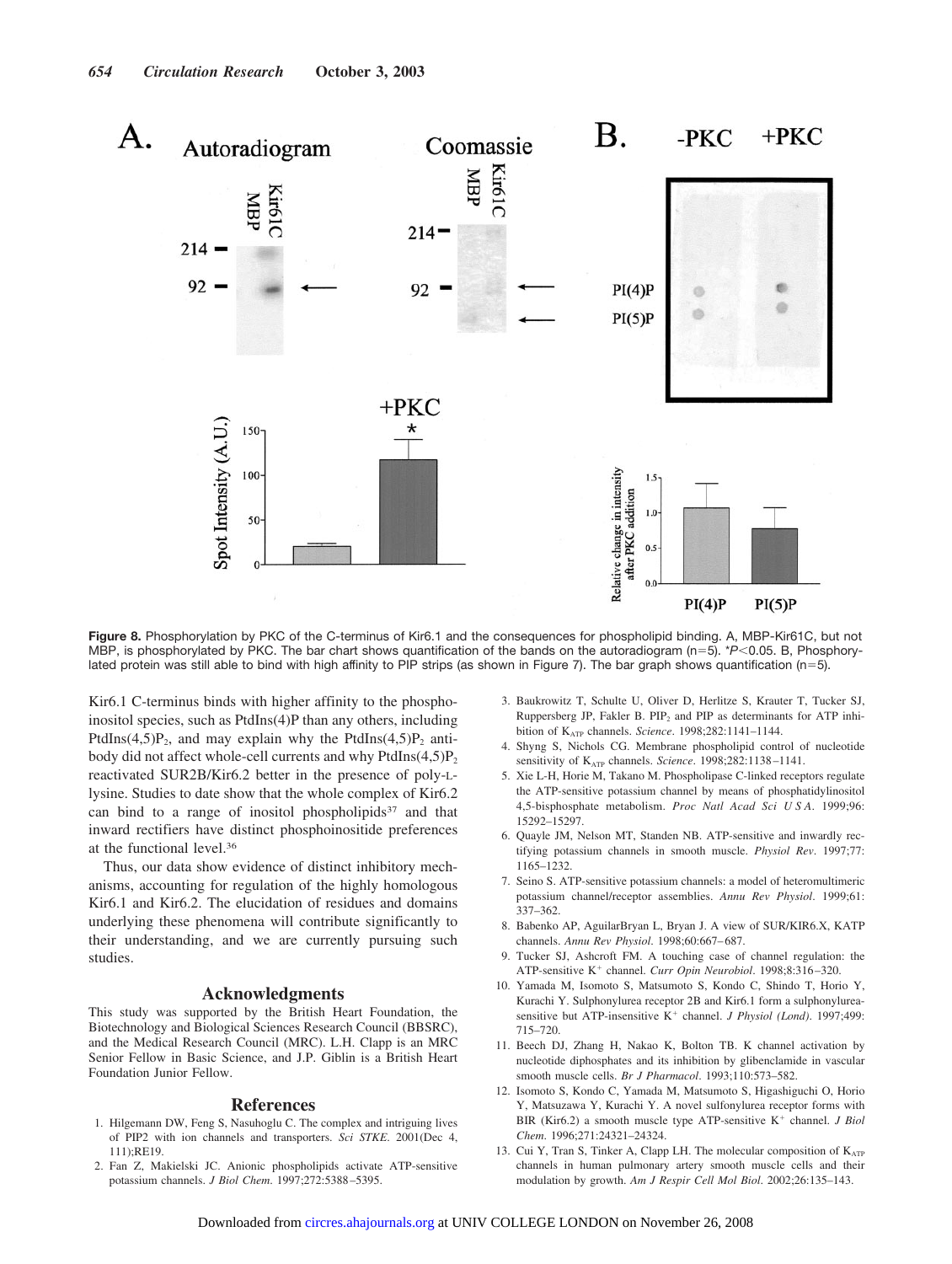

**Figure 8.** Phosphorylation by PKC of the C-terminus of Kir6.1 and the consequences for phospholipid binding. A, MBP-Kir61C, but not MBP, is phosphorylated by PKC. The bar chart shows quantification of the bands on the autoradiogram (n=5). *\*P<*0.05. B, Phosphorylated protein was still able to bind with high affinity to PIP strips (as shown in Figure 7). The bar graph shows quantification (n-5).

Kir6.1 C-terminus binds with higher affinity to the phosphoinositol species, such as PtdIns(4)P than any others, including PtdIns(4,5) $P_2$ , and may explain why the PtdIns(4,5) $P_2$  antibody did not affect whole-cell currents and why PtdIns(4,5) $P_2$ reactivated SUR2B/Kir6.2 better in the presence of poly-Llysine. Studies to date show that the whole complex of Kir6.2 can bind to a range of inositol phospholipids<sup>37</sup> and that inward rectifiers have distinct phosphoinositide preferences at the functional level.36

Thus, our data show evidence of distinct inhibitory mechanisms, accounting for regulation of the highly homologous Kir6.1 and Kir6.2. The elucidation of residues and domains underlying these phenomena will contribute significantly to their understanding, and we are currently pursuing such studies.

## **Acknowledgments**

This study was supported by the British Heart Foundation, the Biotechnology and Biological Sciences Research Council (BBSRC), and the Medical Research Council (MRC). L.H. Clapp is an MRC Senior Fellow in Basic Science, and J.P. Giblin is a British Heart Foundation Junior Fellow.

### **References**

- 1. Hilgemann DW, Feng S, Nasuhoglu C. The complex and intriguing lives of PIP2 with ion channels and transporters. *Sci STKE*. 2001(Dec 4, 111);RE19.
- 2. Fan Z, Makielski JC. Anionic phospholipids activate ATP-sensitive potassium channels. *J Biol Chem*. 1997;272:5388 –5395.
- 3. Baukrowitz T, Schulte U, Oliver D, Herlitze S, Krauter T, Tucker SJ, Ruppersberg JP, Fakler B.  $PIP_2$  and  $PIP$  as determinants for ATP inhibition of KATP channels. *Science*. 1998;282:1141–1144.
- 4. Shyng S, Nichols CG. Membrane phospholipid control of nucleotide sensitivity of K<sub>ATP</sub> channels. *Science*. 1998;282:1138-1141.
- 5. Xie L-H, Horie M, Takano M. Phospholipase C-linked receptors regulate the ATP-sensitive potassium channel by means of phosphatidylinositol 4,5-bisphosphate metabolism. *Proc Natl Acad Sci U S A*. 1999;96: 15292–15297.
- 6. Quayle JM, Nelson MT, Standen NB. ATP-sensitive and inwardly rectifying potassium channels in smooth muscle. *Physiol Rev*. 1997;77: 1165–1232.
- 7. Seino S. ATP-sensitive potassium channels: a model of heteromultimeric potassium channel/receptor assemblies. *Annu Rev Physiol*. 1999;61: 337–362.
- 8. Babenko AP, AguilarBryan L, Bryan J. A view of SUR/KIR6.X, KATP channels. *Annu Rev Physiol*. 1998;60:667– 687.
- 9. Tucker SJ, Ashcroft FM. A touching case of channel regulation: the ATP-sensitive K<sup>+</sup> channel. *Curr Opin Neurobiol*. 1998;8:316-320.
- 10. Yamada M, Isomoto S, Matsumoto S, Kondo C, Shindo T, Horio Y, Kurachi Y. Sulphonylurea receptor 2B and Kir6.1 form a sulphonylureasensitive but ATP-insensitive K<sup>+</sup> channel. *J Physiol (Lond)*. 1997;499: 715–720.
- 11. Beech DJ, Zhang H, Nakao K, Bolton TB. K channel activation by nucleotide diphosphates and its inhibition by glibenclamide in vascular smooth muscle cells. *Br J Pharmacol*. 1993;110:573–582.
- 12. Isomoto S, Kondo C, Yamada M, Matsumoto S, Higashiguchi O, Horio Y, Matsuzawa Y, Kurachi Y. A novel sulfonylurea receptor forms with BIR (Kir6.2) a smooth muscle type ATP-sensitive K<sup>+</sup> channel. *J Biol Chem*. 1996;271:24321–24324.
- 13. Cui Y, Tran S, Tinker A, Clapp LH. The molecular composition of  $K_{ATP}$ channels in human pulmonary artery smooth muscle cells and their modulation by growth. *Am J Respir Cell Mol Biol*. 2002;26:135–143.